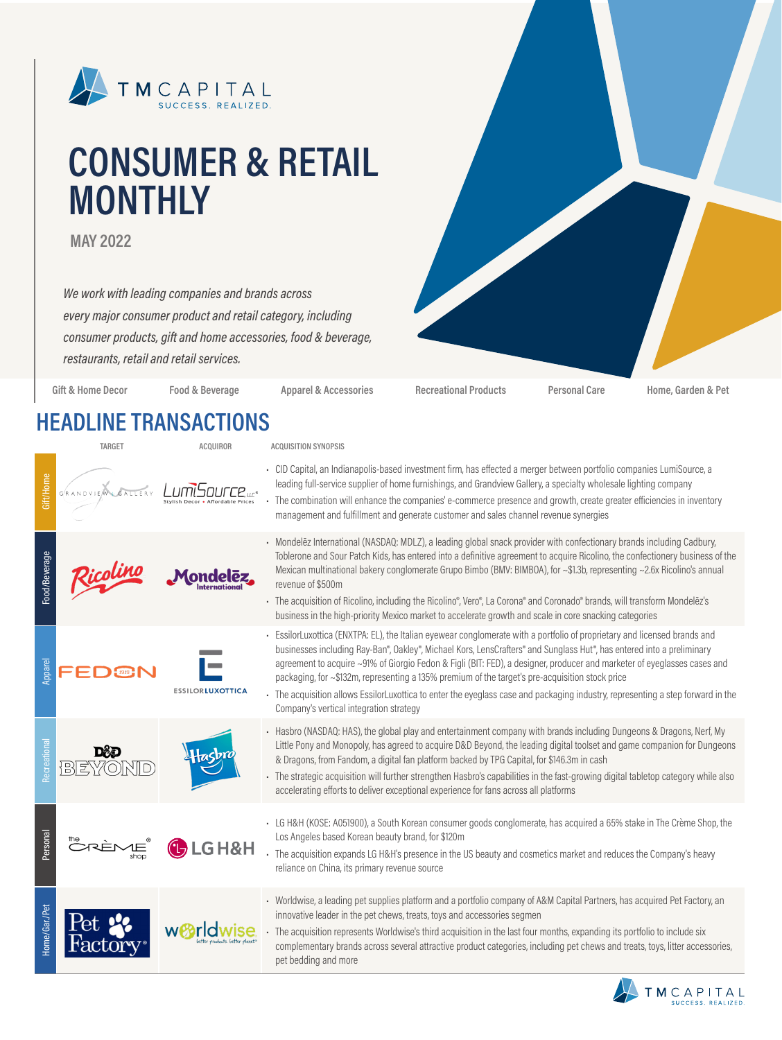

# **CONSUMER & RETAIL MONTHLY**

**MAY 2022**

*We work with leading companies and brands across every major consumer product and retail category, including consumer products, gift and home accessories, food & beverage, restaurants, retail and retail services.*

**Gift & Home Decor Food & Beverage Apparel & Accessories Recreational Products Personal Care Home, Garden & Pet**

### **HEADLINE TRANSACTIONS**

|                      | <b>TARGET</b>         | <b>ACQUIROR</b>         | <b>ACQUISITION SYNOPSIS</b>                                                                                                                                                                                                                                                                                                                                                                                                                                                                                                                                                                                                                                     |
|----------------------|-----------------------|-------------------------|-----------------------------------------------------------------------------------------------------------------------------------------------------------------------------------------------------------------------------------------------------------------------------------------------------------------------------------------------------------------------------------------------------------------------------------------------------------------------------------------------------------------------------------------------------------------------------------------------------------------------------------------------------------------|
| Gift/Home            | G RANDVIEW<br>GALLERY | Stylich Decor           | CID Capital, an Indianapolis-based investment firm, has effected a merger between portfolio companies LumiSource, a<br>leading full-service supplier of home furnishings, and Grandview Gallery, a specialty wholesale lighting company<br>The combination will enhance the companies' e-commerce presence and growth, create greater efficiencies in inventory<br>management and fulfillment and generate customer and sales channel revenue synergies                                                                                                                                                                                                         |
| Food/Beverage        |                       |                         | - Mondelez International (NASDAQ: MDLZ), a leading global snack provider with confectionary brands including Cadbury,<br>Toblerone and Sour Patch Kids, has entered into a definitive agreement to acquire Ricolino, the confectionery business of the<br>Mexican multinational bakery conglomerate Grupo Bimbo (BMV: BIMBOA), for ~\$1.3b, representing ~2.6x Ricolino's annual<br>revenue of \$500m<br>· The acquisition of Ricolino, including the Ricolino®, Vero®, La Corona® and Coronado® brands, will transform Mondelēz's<br>business in the high-priority Mexico market to accelerate growth and scale in core snacking categories                    |
| Appare               |                       | <b>ESSILORLUXOTTICA</b> | - EssilorLuxottica (ENXTPA: EL), the Italian eyewear conglomerate with a portfolio of proprietary and licensed brands and<br>businesses including Ray-Ban®, Oakley®, Michael Kors, LensCrafters® and Sunglass Hut®, has entered into a preliminary<br>agreement to acquire ~91% of Giorgio Fedon & Figli (BIT: FED), a designer, producer and marketer of eyeglasses cases and<br>packaging, for ~\$132m, representing a 135% premium of the target's pre-acquisition stock price<br>- The acquisition allows EssilorLuxottica to enter the eyeglass case and packaging industry, representing a step forward in the<br>Company's vertical integration strategy |
| ecreati              |                       |                         | - Hasbro (NASDAQ: HAS), the global play and entertainment company with brands including Dungeons & Dragons, Nerf, My<br>Little Pony and Monopoly, has agreed to acquire D&D Beyond, the leading digital toolset and game companion for Dungeons<br>& Dragons, from Fandom, a digital fan platform backed by TPG Capital, for \$146.3m in cash<br>- The strategic acquisition will further strengthen Hasbro's capabilities in the fast-growing digital tabletop category while also<br>accelerating efforts to deliver exceptional experience for fans across all platforms                                                                                     |
| Personal             |                       | <b>GH&amp;H</b>         | • LG H&H (KOSE: A051900), a South Korean consumer goods conglomerate, has acquired a 65% stake in The Crème Shop, the<br>Los Angeles based Korean beauty brand, for \$120m<br>The acquisition expands LG H&H's presence in the US beauty and cosmetics market and reduces the Company's heavy<br>reliance on China, its primary revenue source                                                                                                                                                                                                                                                                                                                  |
| <b>Home/Gar./Pet</b> |                       |                         | - Worldwise, a leading pet supplies platform and a portfolio company of A&M Capital Partners, has acquired Pet Factory, an<br>innovative leader in the pet chews, treats, toys and accessories segmen<br>The acquisition represents Worldwise's third acquisition in the last four months, expanding its portfolio to include six<br>complementary brands across several attractive product categories, including pet chews and treats, toys, litter accessories,<br>pet bedding and more                                                                                                                                                                       |

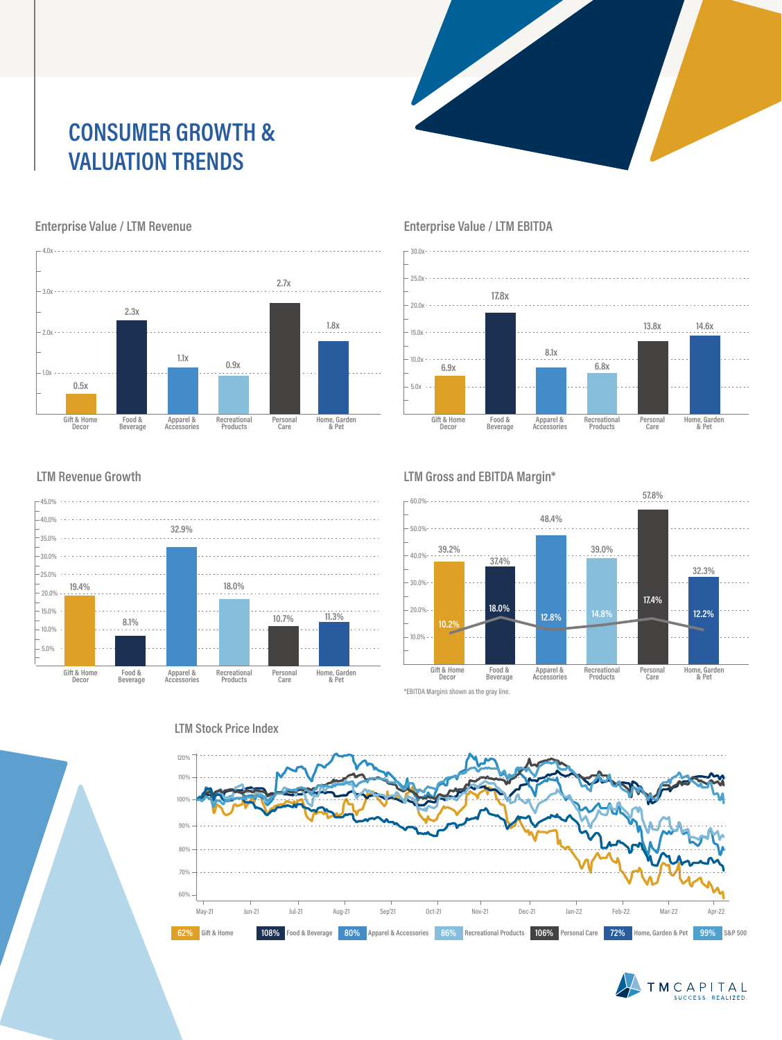## **CONSUMER GROWTH & VALUATION TRENDS**



#### **Enterprise Value / LTM Revenue**





#### **Enterprise Value / LTM EBITDA**

#### **LTM Revenue Growth**



#### **LTM Gross and EBITDA Margin\***